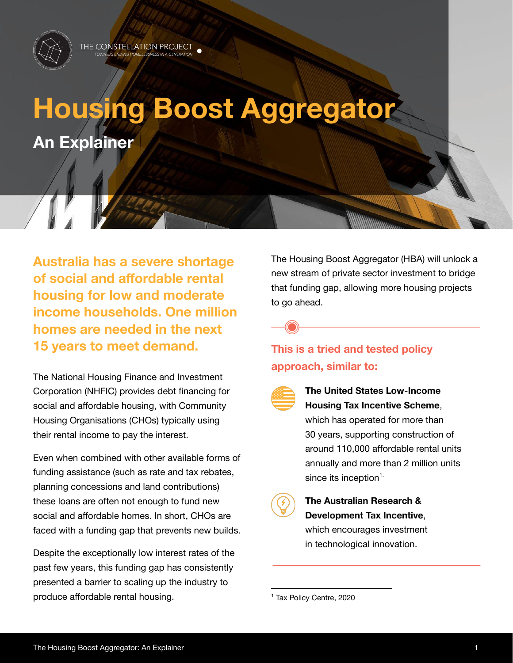

# **Housing Boost Aggregator An Explainer**

**Australia has a severe shortage of social and affordable rental housing for low and moderate income households. One million homes are needed in the next 15 years to meet demand.**

The National Housing Finance and Investment Corporation (NHFIC) provides debt financing for social and affordable housing, with Community Housing Organisations (CHOs) typically using their rental income to pay the interest.

Even when combined with other available forms of funding assistance (such as rate and tax rebates, planning concessions and land contributions) these loans are often not enough to fund new social and affordable homes. In short, CHOs are faced with a funding gap that prevents new builds.

Despite the exceptionally low interest rates of the past few years, this funding gap has consistently presented a barrier to scaling up the industry to produce affordable rental housing.

The Housing Boost Aggregator (HBA) will unlock a new stream of private sector investment to bridge that funding gap, allowing more housing projects to go ahead.



### **This is a tried and tested policy approach, similar to:**



#### **The United States Low-Income Housing Tax Incentive Scheme**, which has operated for more than 30 years, supporting construction of around 110,000 affordable rental units annually and more than 2 million units since its inception $^1$



## **The Australian Research & Development Tax Incentive**,

which encourages investment in technological innovation.

<sup>1</sup> Tax Policy Centre, 2020